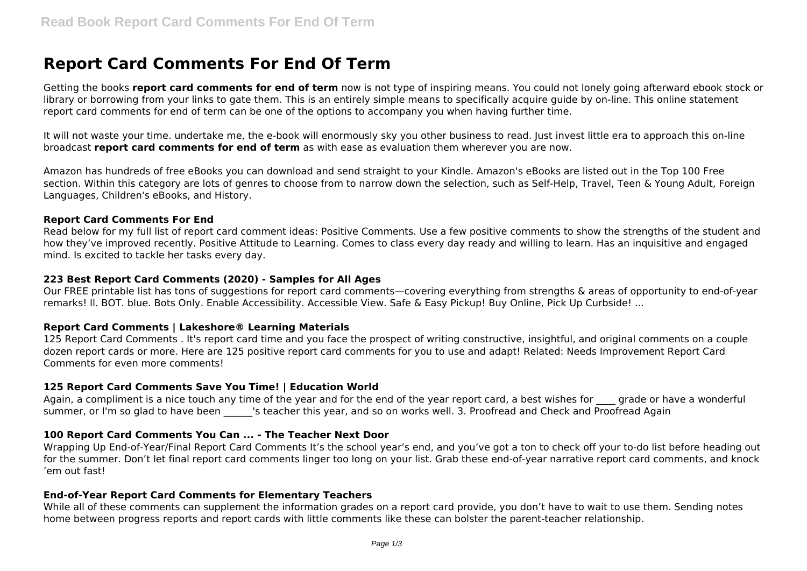# **Report Card Comments For End Of Term**

Getting the books **report card comments for end of term** now is not type of inspiring means. You could not lonely going afterward ebook stock or library or borrowing from your links to gate them. This is an entirely simple means to specifically acquire guide by on-line. This online statement report card comments for end of term can be one of the options to accompany you when having further time.

It will not waste your time. undertake me, the e-book will enormously sky you other business to read. Just invest little era to approach this on-line broadcast **report card comments for end of term** as with ease as evaluation them wherever you are now.

Amazon has hundreds of free eBooks you can download and send straight to your Kindle. Amazon's eBooks are listed out in the Top 100 Free section. Within this category are lots of genres to choose from to narrow down the selection, such as Self-Help, Travel, Teen & Young Adult, Foreign Languages, Children's eBooks, and History.

#### **Report Card Comments For End**

Read below for my full list of report card comment ideas: Positive Comments. Use a few positive comments to show the strengths of the student and how they've improved recently. Positive Attitude to Learning. Comes to class every day ready and willing to learn. Has an inquisitive and engaged mind. Is excited to tackle her tasks every day.

#### **223 Best Report Card Comments (2020) - Samples for All Ages**

Our FREE printable list has tons of suggestions for report card comments—covering everything from strengths & areas of opportunity to end-of-year remarks! ll. BOT. blue. Bots Only. Enable Accessibility. Accessible View. Safe & Easy Pickup! Buy Online, Pick Up Curbside! ...

## **Report Card Comments | Lakeshore® Learning Materials**

125 Report Card Comments . It's report card time and you face the prospect of writing constructive, insightful, and original comments on a couple dozen report cards or more. Here are 125 positive report card comments for you to use and adapt! Related: Needs Improvement Report Card Comments for even more comments!

## **125 Report Card Comments Save You Time! | Education World**

Again, a compliment is a nice touch any time of the year and for the end of the year report card, a best wishes for grade or have a wonderful summer, or I'm so glad to have been state is teacher this year, and so on works well. 3. Proofread and Check and Proofread Again

## **100 Report Card Comments You Can ... - The Teacher Next Door**

Wrapping Up End-of-Year/Final Report Card Comments It's the school year's end, and you've got a ton to check off your to-do list before heading out for the summer. Don't let final report card comments linger too long on your list. Grab these end-of-year narrative report card comments, and knock 'em out fast!

## **End-of-Year Report Card Comments for Elementary Teachers**

While all of these comments can supplement the information grades on a report card provide, you don't have to wait to use them. Sending notes home between progress reports and report cards with little comments like these can bolster the parent-teacher relationship.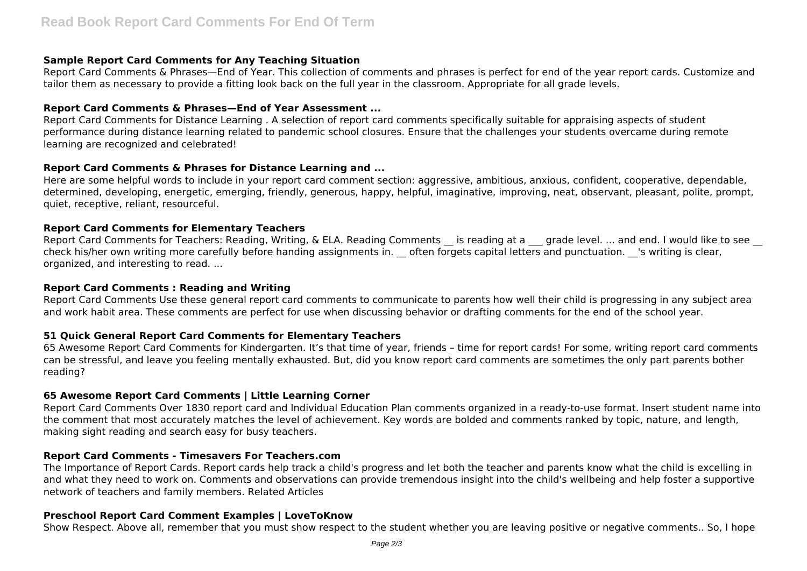## **Sample Report Card Comments for Any Teaching Situation**

Report Card Comments & Phrases—End of Year. This collection of comments and phrases is perfect for end of the year report cards. Customize and tailor them as necessary to provide a fitting look back on the full year in the classroom. Appropriate for all grade levels.

## **Report Card Comments & Phrases—End of Year Assessment ...**

Report Card Comments for Distance Learning . A selection of report card comments specifically suitable for appraising aspects of student performance during distance learning related to pandemic school closures. Ensure that the challenges your students overcame during remote learning are recognized and celebrated!

## **Report Card Comments & Phrases for Distance Learning and ...**

Here are some helpful words to include in your report card comment section: aggressive, ambitious, anxious, confident, cooperative, dependable, determined, developing, energetic, emerging, friendly, generous, happy, helpful, imaginative, improving, neat, observant, pleasant, polite, prompt, quiet, receptive, reliant, resourceful.

## **Report Card Comments for Elementary Teachers**

Report Card Comments for Teachers: Reading, Writing, & ELA. Reading Comments is reading at a grade level. ... and end. I would like to see \_\_ check his/her own writing more carefully before handing assignments in. \_\_ often forgets capital letters and punctuation. \_\_'s writing is clear. organized, and interesting to read. ...

## **Report Card Comments : Reading and Writing**

Report Card Comments Use these general report card comments to communicate to parents how well their child is progressing in any subject area and work habit area. These comments are perfect for use when discussing behavior or drafting comments for the end of the school year.

# **51 Quick General Report Card Comments for Elementary Teachers**

65 Awesome Report Card Comments for Kindergarten. It's that time of year, friends – time for report cards! For some, writing report card comments can be stressful, and leave you feeling mentally exhausted. But, did you know report card comments are sometimes the only part parents bother reading?

# **65 Awesome Report Card Comments | Little Learning Corner**

Report Card Comments Over 1830 report card and Individual Education Plan comments organized in a ready-to-use format. Insert student name into the comment that most accurately matches the level of achievement. Key words are bolded and comments ranked by topic, nature, and length, making sight reading and search easy for busy teachers.

## **Report Card Comments - Timesavers For Teachers.com**

The Importance of Report Cards. Report cards help track a child's progress and let both the teacher and parents know what the child is excelling in and what they need to work on. Comments and observations can provide tremendous insight into the child's wellbeing and help foster a supportive network of teachers and family members. Related Articles

# **Preschool Report Card Comment Examples | LoveToKnow**

Show Respect. Above all, remember that you must show respect to the student whether you are leaving positive or negative comments.. So, I hope